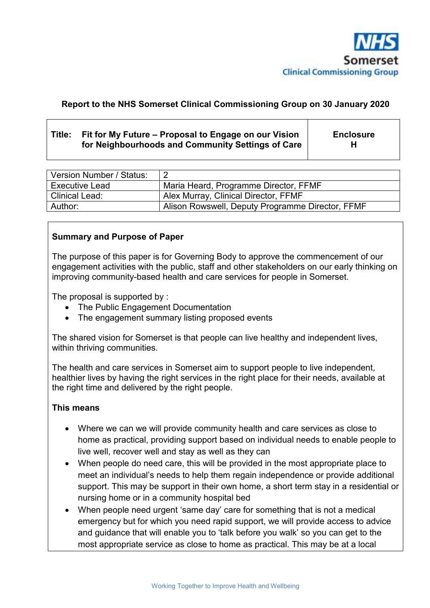

# **Report to the NHS Somerset Clinical Commissioning Group on 30 January 2020**

# **Title: Fit for My Future – Proposal to Engage on our Vision for Neighbourhoods and Community Settings of Care**

**Enclosure H**

| Version Number / Status: |                                                  |
|--------------------------|--------------------------------------------------|
| <b>Executive Lead</b>    | Maria Heard, Programme Director, FFMF            |
| Clinical Lead:           | Alex Murray, Clinical Director, FFMF             |
| Author:                  | Alison Rowswell, Deputy Programme Director, FFMF |

### **Summary and Purpose of Paper**

The purpose of this paper is for Governing Body to approve the commencement of our engagement activities with the public, staff and other stakeholders on our early thinking on improving community-based health and care services for people in Somerset.

The proposal is supported by :

- The Public Engagement Documentation
- The engagement summary listing proposed events

The shared vision for Somerset is that people can live healthy and independent lives, within thriving communities.

The health and care services in Somerset aim to support people to live independent, healthier lives by having the right services in the right place for their needs, available at the right time and delivered by the right people.

#### **This means**

- Where we can we will provide community health and care services as close to home as practical, providing support based on individual needs to enable people to live well, recover well and stay as well as they can
- When people do need care, this will be provided in the most appropriate place to meet an individual's needs to help them regain independence or provide additional support. This may be support in their own home, a short term stay in a residential or nursing home or in a community hospital bed
- When people need urgent 'same day' care for something that is not a medical emergency but for which you need rapid support, we will provide access to advice and guidance that will enable you to 'talk before you walk' so you can get to the most appropriate service as close to home as practical. This may be at a local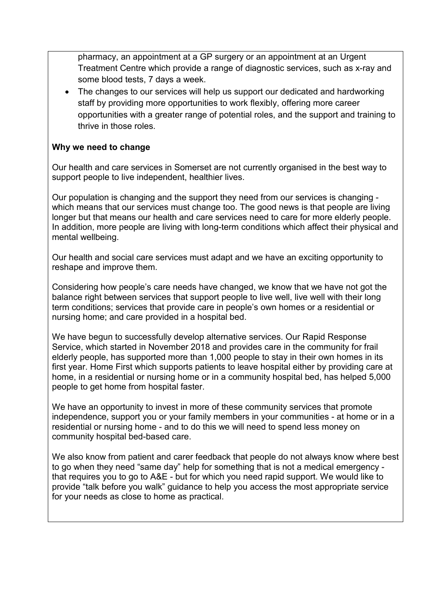pharmacy, an appointment at a GP surgery or an appointment at an Urgent Treatment Centre which provide a range of diagnostic services, such as x-ray and some blood tests, 7 days a week.

• The changes to our services will help us support our dedicated and hardworking staff by providing more opportunities to work flexibly, offering more career opportunities with a greater range of potential roles, and the support and training to thrive in those roles.

### **Why we need to change**

Our health and care services in Somerset are not currently organised in the best way to support people to live independent, healthier lives.

Our population is changing and the support they need from our services is changing which means that our services must change too. The good news is that people are living longer but that means our health and care services need to care for more elderly people. In addition, more people are living with long-term conditions which affect their physical and mental wellbeing.

Our health and social care services must adapt and we have an exciting opportunity to reshape and improve them.

Considering how people's care needs have changed, we know that we have not got the balance right between services that support people to live well, live well with their long term conditions; services that provide care in people's own homes or a residential or nursing home; and care provided in a hospital bed.

We have begun to successfully develop alternative services. Our Rapid Response Service, which started in November 2018 and provides care in the community for frail elderly people, has supported more than 1,000 people to stay in their own homes in its first year. Home First which supports patients to leave hospital either by providing care at home, in a residential or nursing home or in a community hospital bed, has helped 5,000 people to get home from hospital faster.

We have an opportunity to invest in more of these community services that promote independence, support you or your family members in your communities - at home or in a residential or nursing home - and to do this we will need to spend less money on community hospital bed-based care.

We also know from patient and carer feedback that people do not always know where best to go when they need "same day" help for something that is not a medical emergency that requires you to go to A&E - but for which you need rapid support. We would like to provide "talk before you walk" guidance to help you access the most appropriate service for your needs as close to home as practical.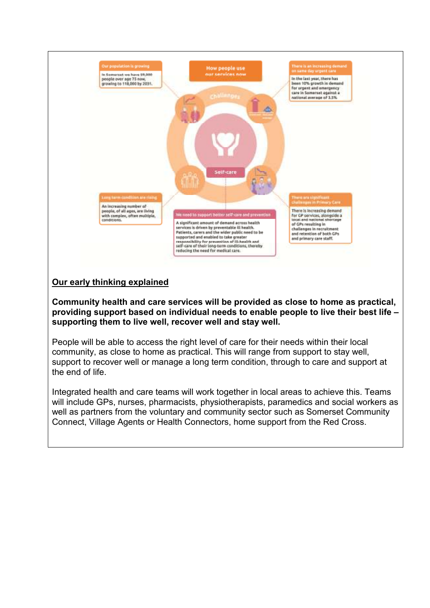

### **Our early thinking explained**

**Community health and care services will be provided as close to home as practical, providing support based on individual needs to enable people to live their best life – supporting them to live well, recover well and stay well.** 

People will be able to access the right level of care for their needs within their local community, as close to home as practical. This will range from support to stay well, support to recover well or manage a long term condition, through to care and support at the end of life.

Integrated health and care teams will work together in local areas to achieve this. Teams will include GPs, nurses, pharmacists, physiotherapists, paramedics and social workers as well as partners from the voluntary and community sector such as Somerset Community Connect, Village Agents or Health Connectors, home support from the Red Cross.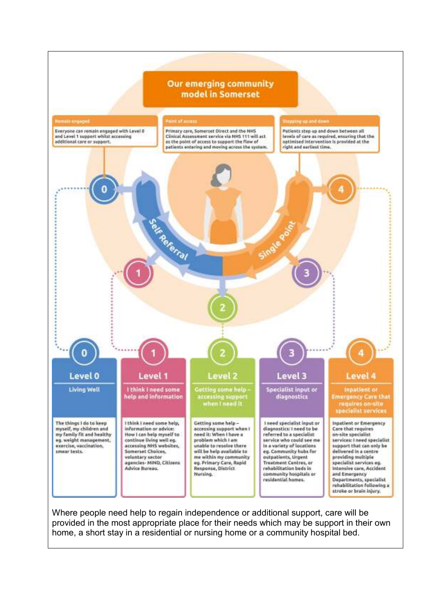#### **Our emerging community** model in Somerset



Where people need help to regain independence or additional support, care will be provided in the most appropriate place for their needs which may be support in their own home, a short stay in a residential or nursing home or a community hospital bed.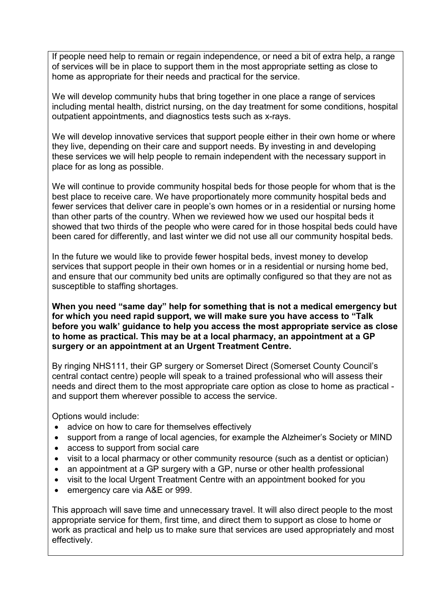If people need help to remain or regain independence, or need a bit of extra help, a range of services will be in place to support them in the most appropriate setting as close to home as appropriate for their needs and practical for the service.

We will develop community hubs that bring together in one place a range of services including mental health, district nursing, on the day treatment for some conditions, hospital outpatient appointments, and diagnostics tests such as x-rays.

We will develop innovative services that support people either in their own home or where they live, depending on their care and support needs. By investing in and developing these services we will help people to remain independent with the necessary support in place for as long as possible.

We will continue to provide community hospital beds for those people for whom that is the best place to receive care. We have proportionately more community hospital beds and fewer services that deliver care in people's own homes or in a residential or nursing home than other parts of the country. When we reviewed how we used our hospital beds it showed that two thirds of the people who were cared for in those hospital beds could have been cared for differently, and last winter we did not use all our community hospital beds.

In the future we would like to provide fewer hospital beds, invest money to develop services that support people in their own homes or in a residential or nursing home bed, and ensure that our community bed units are optimally configured so that they are not as susceptible to staffing shortages.

**When you need "same day" help for something that is not a medical emergency but for which you need rapid support, we will make sure you have access to "Talk before you walk' guidance to help you access the most appropriate service as close to home as practical. This may be at a local pharmacy, an appointment at a GP surgery or an appointment at an Urgent Treatment Centre.** 

By ringing NHS111, their GP surgery or Somerset Direct (Somerset County Council's central contact centre) people will speak to a trained professional who will assess their needs and direct them to the most appropriate care option as close to home as practical and support them wherever possible to access the service.

Options would include:

- advice on how to care for themselves effectively
- support from a range of local agencies, for example the Alzheimer's Society or MIND
- access to support from social care
- visit to a local pharmacy or other community resource (such as a dentist or optician)
- an appointment at a GP surgery with a GP, nurse or other health professional
- visit to the local Urgent Treatment Centre with an appointment booked for you
- emergency care via A&E or 999.

This approach will save time and unnecessary travel. It will also direct people to the most appropriate service for them, first time, and direct them to support as close to home or work as practical and help us to make sure that services are used appropriately and most effectively.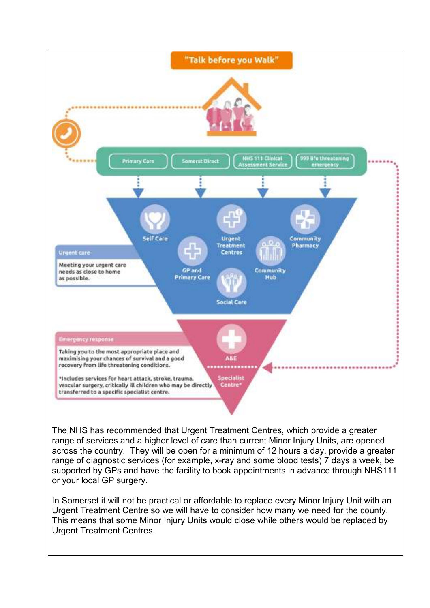

The NHS has recommended that Urgent Treatment Centres, which provide a greater range of services and a higher level of care than current Minor Injury Units, are opened across the country. They will be open for a minimum of 12 hours a day, provide a greater range of diagnostic services (for example, x-ray and some blood tests) 7 days a week, be supported by GPs and have the facility to book appointments in advance through NHS111 or your local GP surgery.

In Somerset it will not be practical or affordable to replace every Minor Injury Unit with an Urgent Treatment Centre so we will have to consider how many we need for the county. This means that some Minor Injury Units would close while others would be replaced by Urgent Treatment Centres.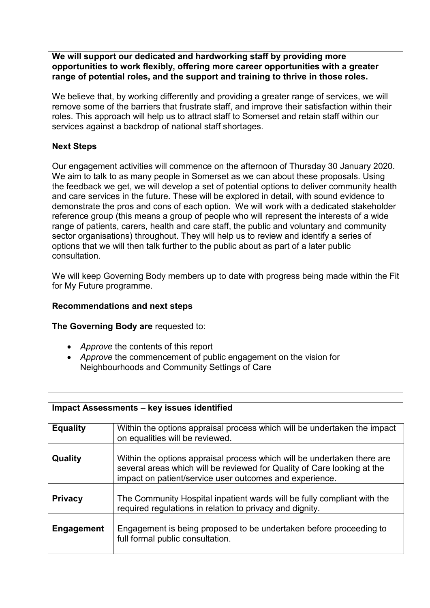**We will support our dedicated and hardworking staff by providing more opportunities to work flexibly, offering more career opportunities with a greater range of potential roles, and the support and training to thrive in those roles.** 

We believe that, by working differently and providing a greater range of services, we will remove some of the barriers that frustrate staff, and improve their satisfaction within their roles. This approach will help us to attract staff to Somerset and retain staff within our services against a backdrop of national staff shortages.

# **Next Steps**

Our engagement activities will commence on the afternoon of Thursday 30 January 2020. We aim to talk to as many people in Somerset as we can about these proposals. Using the feedback we get, we will develop a set of potential options to deliver community health and care services in the future. These will be explored in detail, with sound evidence to demonstrate the pros and cons of each option. We will work with a dedicated stakeholder reference group (this means a group of people who will represent the interests of a wide range of patients, carers, health and care staff, the public and voluntary and community sector organisations) throughout. They will help us to review and identify a series of options that we will then talk further to the public about as part of a later public consultation.

We will keep Governing Body members up to date with progress being made within the Fit for My Future programme.

#### **Recommendations and next steps**

**The Governing Body are** requested to:

- *Approve* the contents of this report
- *Approve* the commencement of public engagement on the vision for Neighbourhoods and Community Settings of Care

| <b>Impact Assessments - key issues identified</b> |                                                                                                                                                                                                               |  |  |  |
|---------------------------------------------------|---------------------------------------------------------------------------------------------------------------------------------------------------------------------------------------------------------------|--|--|--|
| <b>Equality</b>                                   | Within the options appraisal process which will be undertaken the impact<br>on equalities will be reviewed.                                                                                                   |  |  |  |
| Quality                                           | Within the options appraisal process which will be undertaken there are<br>several areas which will be reviewed for Quality of Care looking at the<br>impact on patient/service user outcomes and experience. |  |  |  |
| <b>Privacy</b>                                    | The Community Hospital inpatient wards will be fully compliant with the<br>required regulations in relation to privacy and dignity.                                                                           |  |  |  |
| <b>Engagement</b>                                 | Engagement is being proposed to be undertaken before proceeding to<br>full formal public consultation.                                                                                                        |  |  |  |